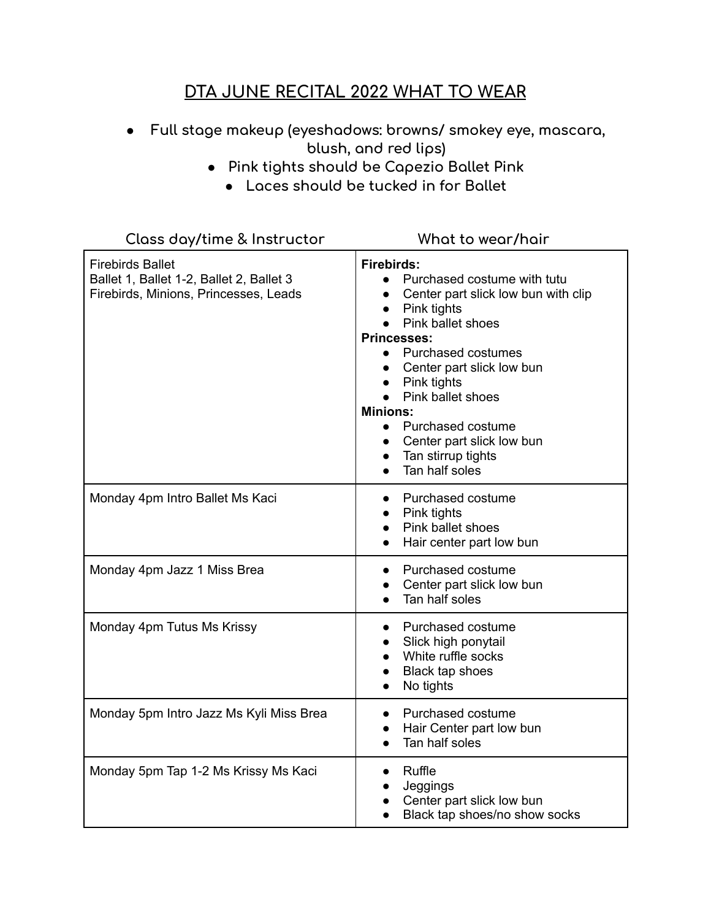## **DTA JUNE RECITAL 2022 WHAT TO WEAR**

- **● Full stage makeup (eyeshadows: browns/ smokey eye, mascara, blush, and red lips)**
	- **● Pink tights should be Capezio Ballet Pink**
		- **● Laces should be tucked in for Ballet**

| Class day/time & Instructor                                                                                  | What to wear/hair                                                                                                                                                                                                                                                                                                                                                                                                                                         |
|--------------------------------------------------------------------------------------------------------------|-----------------------------------------------------------------------------------------------------------------------------------------------------------------------------------------------------------------------------------------------------------------------------------------------------------------------------------------------------------------------------------------------------------------------------------------------------------|
| <b>Firebirds Ballet</b><br>Ballet 1, Ballet 1-2, Ballet 2, Ballet 3<br>Firebirds, Minions, Princesses, Leads | <b>Firebirds:</b><br>Purchased costume with tutu<br>$\bullet$<br>Center part slick low bun with clip<br>Pink tights<br>$\bullet$<br>Pink ballet shoes<br>$\bullet$<br><b>Princesses:</b><br><b>Purchased costumes</b><br>$\bullet$<br>Center part slick low bun<br>• Pink tights<br>Pink ballet shoes<br><b>Minions:</b><br>Purchased costume<br>$\bullet$<br>Center part slick low bun<br>$\bullet$<br>Tan stirrup tights<br>$\bullet$<br>Tan half soles |
| Monday 4pm Intro Ballet Ms Kaci                                                                              | Purchased costume<br>Pink tights<br>$\bullet$<br>Pink ballet shoes<br>$\bullet$<br>Hair center part low bun                                                                                                                                                                                                                                                                                                                                               |
| Monday 4pm Jazz 1 Miss Brea                                                                                  | Purchased costume<br>$\bullet$<br>Center part slick low bun<br>$\bullet$<br>Tan half soles                                                                                                                                                                                                                                                                                                                                                                |
| Monday 4pm Tutus Ms Krissy                                                                                   | Purchased costume<br>$\bullet$<br>Slick high ponytail<br>$\bullet$<br>White ruffle socks<br>Black tap shoes<br>$\bullet$<br>No tights                                                                                                                                                                                                                                                                                                                     |
| Monday 5pm Intro Jazz Ms Kyli Miss Brea                                                                      | Purchased costume<br>$\bullet$<br>Hair Center part low bun<br>$\bullet$<br>Tan half soles                                                                                                                                                                                                                                                                                                                                                                 |
| Monday 5pm Tap 1-2 Ms Krissy Ms Kaci                                                                         | Ruffle<br>$\bullet$<br>Jeggings<br>Center part slick low bun<br>Black tap shoes/no show socks                                                                                                                                                                                                                                                                                                                                                             |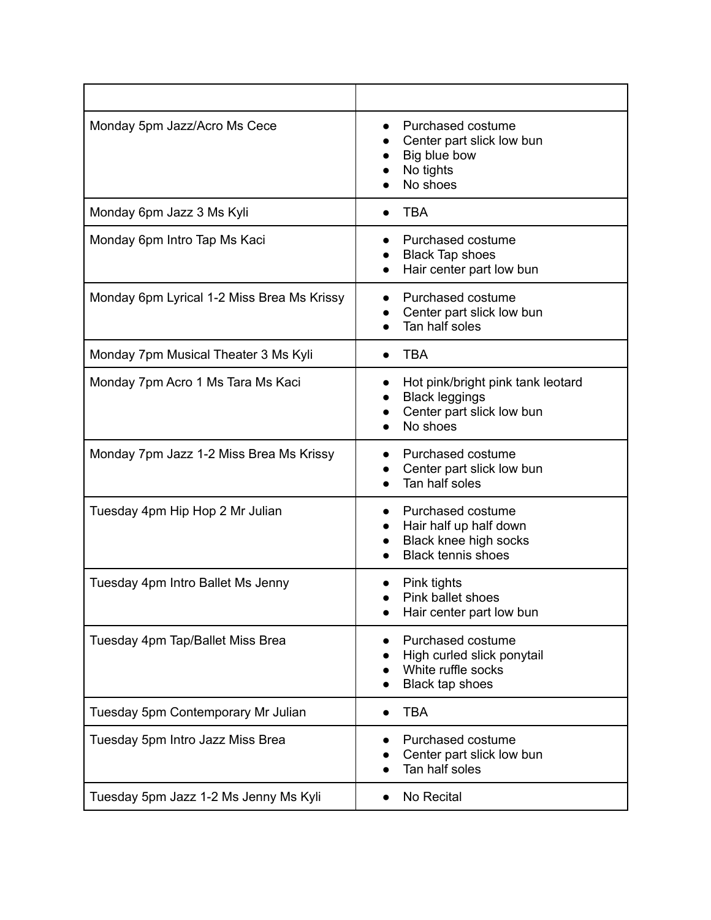| Monday 5pm Jazz/Acro Ms Cece               | Purchased costume<br>Center part slick low bun<br>Big blue bow<br>No tights<br>No shoes                                                  |
|--------------------------------------------|------------------------------------------------------------------------------------------------------------------------------------------|
| Monday 6pm Jazz 3 Ms Kyli                  | <b>TBA</b>                                                                                                                               |
| Monday 6pm Intro Tap Ms Kaci               | Purchased costume<br><b>Black Tap shoes</b><br>Hair center part low bun<br>$\bullet$                                                     |
| Monday 6pm Lyrical 1-2 Miss Brea Ms Krissy | Purchased costume<br>Center part slick low bun<br>Tan half soles                                                                         |
| Monday 7pm Musical Theater 3 Ms Kyli       | <b>TBA</b>                                                                                                                               |
| Monday 7pm Acro 1 Ms Tara Ms Kaci          | Hot pink/bright pink tank leotard<br><b>Black leggings</b><br>Center part slick low bun<br>No shoes                                      |
| Monday 7pm Jazz 1-2 Miss Brea Ms Krissy    | Purchased costume<br>Center part slick low bun<br>Tan half soles                                                                         |
| Tuesday 4pm Hip Hop 2 Mr Julian            | Purchased costume<br>$\bullet$<br>Hair half up half down<br>$\bullet$<br>Black knee high socks<br>$\bullet$<br><b>Black tennis shoes</b> |
| Tuesday 4pm Intro Ballet Ms Jenny          | Pink tights<br>Pink ballet shoes<br>Hair center part low bun                                                                             |
| Tuesday 4pm Tap/Ballet Miss Brea           | Purchased costume<br>High curled slick ponytail<br>White ruffle socks<br>Black tap shoes                                                 |
| Tuesday 5pm Contemporary Mr Julian         | <b>TBA</b>                                                                                                                               |
| Tuesday 5pm Intro Jazz Miss Brea           | Purchased costume<br>Center part slick low bun<br>Tan half soles                                                                         |
| Tuesday 5pm Jazz 1-2 Ms Jenny Ms Kyli      | No Recital                                                                                                                               |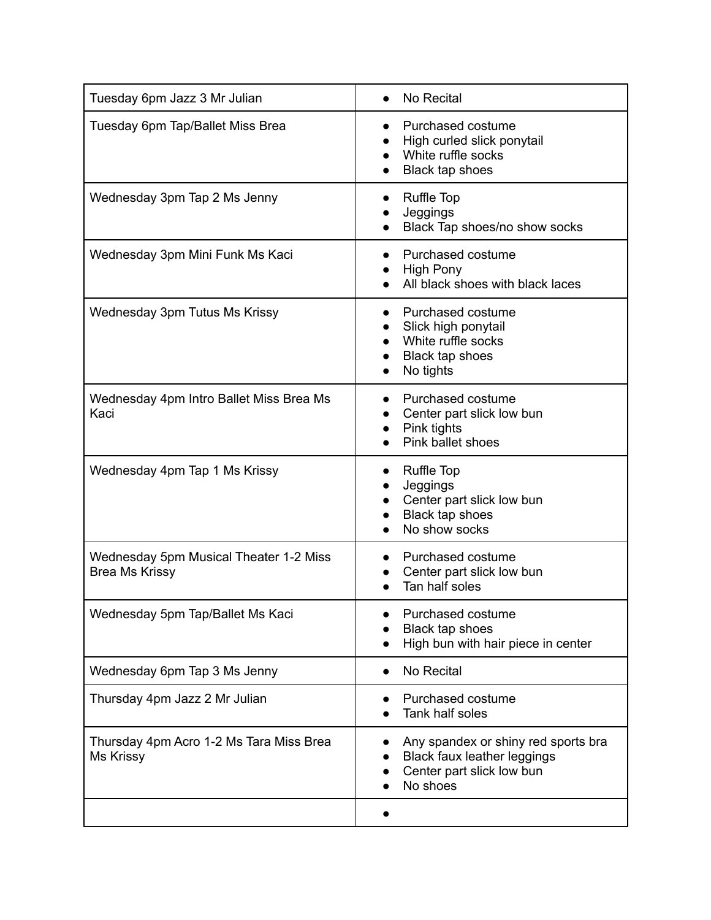| Tuesday 6pm Jazz 3 Mr Julian                                    | No Recital                                                                                                                            |
|-----------------------------------------------------------------|---------------------------------------------------------------------------------------------------------------------------------------|
| Tuesday 6pm Tap/Ballet Miss Brea                                | Purchased costume<br>High curled slick ponytail<br>White ruffle socks<br>Black tap shoes                                              |
| Wednesday 3pm Tap 2 Ms Jenny                                    | <b>Ruffle Top</b><br>$\bullet$<br>Jeggings<br>Black Tap shoes/no show socks                                                           |
| Wednesday 3pm Mini Funk Ms Kaci                                 | Purchased costume<br><b>High Pony</b><br>All black shoes with black laces                                                             |
| Wednesday 3pm Tutus Ms Krissy                                   | Purchased costume<br>$\bullet$<br>Slick high ponytail<br>White ruffle socks<br>Black tap shoes<br>No tights                           |
| Wednesday 4pm Intro Ballet Miss Brea Ms<br>Kaci                 | Purchased costume<br>Center part slick low bun<br>$\bullet$<br>Pink tights<br>Pink ballet shoes                                       |
| Wednesday 4pm Tap 1 Ms Krissy                                   | Ruffle Top<br>$\bullet$<br>Jeggings<br>Center part slick low bun<br>Black tap shoes<br>No show socks                                  |
| Wednesday 5pm Musical Theater 1-2 Miss<br><b>Brea Ms Krissy</b> | Purchased costume<br>Center part slick low bun<br>Tan half soles                                                                      |
| Wednesday 5pm Tap/Ballet Ms Kaci                                | Purchased costume<br>Black tap shoes<br>High bun with hair piece in center<br>$\bullet$                                               |
| Wednesday 6pm Tap 3 Ms Jenny                                    | No Recital<br>$\bullet$                                                                                                               |
| Thursday 4pm Jazz 2 Mr Julian                                   | Purchased costume<br>Tank half soles                                                                                                  |
| Thursday 4pm Acro 1-2 Ms Tara Miss Brea<br>Ms Krissy            | Any spandex or shiny red sports bra<br>$\bullet$<br>Black faux leather leggings<br>$\bullet$<br>Center part slick low bun<br>No shoes |
|                                                                 |                                                                                                                                       |